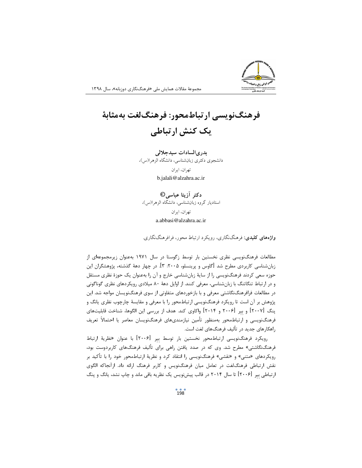## فرهنگنویسی ارتباطمحور: فرهنگلغت بهمثابهٔ یک کنش ارتباطی

بدرىالسادات سيدجلالي دانشجوي دكتري زبانشناسي، دانشگاه الزهرا(س)،

> تهران، ايران b.jalali@alzahra.ac.ir

دكتر أزيتا عباسي© استادیار گروه زبانشناسی، دانشگاه الزهرا(س)، تهران، ايران a.abbasi@alzahra.ac.ir

**واژههای کلیدی**: فرهنگنگاری، رویکرد ارتباط محور، فرافرهنگنگاری.

مطالعات فرهنگنویسی نظری نخستین بار توسط زگوستا در سال ۱۹۷۱ بهعنوان زیرمجموعهای از زبانشناسی کاربردی مطرح شد [گاوس و پرینسلو، ۲۰۰۵: ۳]. در چهار دههٔ گذشته، پژوهشگران این حوزه سعی کردند فرهنگنویسی را از سایهٔ زبانشناسی خارج و آن را بهعنوان یک حوزهٔ نظری مستقل و در ارتباط تنگاتنگ با زبانشناسی، معرفی کنند. از اوایل دههٔ ۸۰ میلادی رویکردهای نظری گوناگونی در مطالعات فرافرهنگ:نگاشتی معرفی و با بازخوردهای متفاوتی از سوی فرهنگنویسان مواجه شد. این پژوهش بر آن است تا رویکرد فرهنگنویسی ارتباطمحور را با معرفی و مقایسهٔ چارچوب نظری یانگ و پنگ [۲۰۰۷] و بیر [۲۰۰۶ و ۲۰۱۴] واکاوی کند. هدف از بررسی این الگوها، شناخت قابلیتهای فرهنگنویسی و ارتباطمحور بهمنظور تأمین نیازمندیهای فرهنگنویسان معاصر یا احتمالاً تعریف ,اهکا,های جدید در تألیف فرهنگهای لغت است.

رویکرد فرهنگنویسی ارتباطمحور نخستین بار توسط بیر [۲۰۰۶] با عنوان «نظریهٔ ارتباط فرهنگنگاشتی» مطرح شد. وی که در صدد یافتن راهی برای تألیف فرهنگهای کاربردوست بود، رویکردهای «متنی» و «نقشی» فرهنگنویسی را انتقاد کرد و نظریهٔ ارتباطمحور خود را با تأکید بر نقش ارتباطي فرهنگ لغت در تعامل ميان فرهنگ نويس و كاربر فرهنگ ارائه داد. ازآنجاكه الگوى ارتباطی بیر [۲۰۰۶] تا سال ۲۰۱۴ در قالب پیشiویس یک نظریه باقی ماند و چاپ نشد، یانگ و پنگ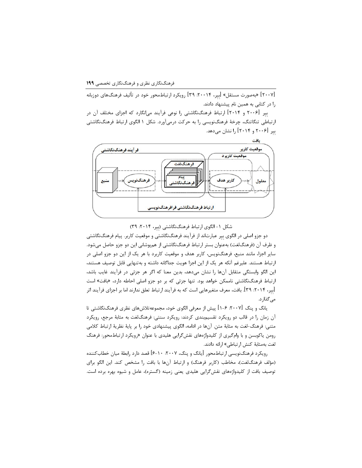[۲۰۰۷] «بهصورت مستقل» ابیر، ۲۰۰۱۴. ۳۹] رویکرد ارتباطمحور خود در تألیف فرهنگهای دوزبانه را در کتابی به همین نام پیشنهاد دادند.

بیر ۲۰۰۶| و ۲۰۱۴] ارتباط فرهنگنگاشتی را نوعی فرآیند می|نگارد که اجزای مختلف آن در ارتباطی تنگاتنگ، چرخهٔ فرهنگنویسی را به حرکت درمیآورد. شکل ۱ الگوی ارتباط فرهنگنگاشتی بیر ۲۰۰۶ و ۲۰۱۴ را نشان میدهد.



شکل ۱– الگوی ارتباط فرهنگنگاشتی (بیر، ۲۰۱۴: ۳۹)

دو جزو اصلی در الگوی بیر عبارتاند از فرآیند فرهنگنگاشتی و موقعیت کاربر. پیام فرهنگنگاشتی و ظرف آن (فرهنگ|فت) بهعنوان بستر ارتباط فرهنگنگاشتی از همپوشانی این دو جزو حاصل میشود. سایر اجزا، مانند منبع، فرهنگنویس، کاربر هدف و موقعیت کاربرد با هر یک از این دو جزو اصلی در ارتباط هستند. عليرغم آنكه هر يک از اين اجزا هويت جداگانه داشته و بهتنهايي قابل توصيف هستند، این الگو وابستگی متقابل آنها را نشان میدهد، بدین معنا که اگر هر جزئی در فرآیند غایب باشد، ارتباط فرهنگنگاشتی ناممکن خواهد بود. تنها جزئی که بر دو جزو اصلی احاطه دارد، «بافت» است [بیر، ۲۰۱۴: ۳۹]. بافت، معرف متغیرهایی است که به فرآیند ارتباط تعلق ندارند اما بر اجزای فرآیند اثر مىگذارد.

یانگ و پنگ ۲۰۰۷|: ۶–۱| پیش از معرفی الگوی خود، مجموعهتلاشهای نظری فرهنگنگاشتی تا آن زمان را در قالب دو رویکرد تقسیمٖبندی کردند: رویکرد سنتی: فرهنگالغت به مثابهٔ مرجع، رویکرد متني: فرهنگ-لغت به مثابهٔ متن. آنها در ادامه، الگوي پيشنهادي خود را بر پايهٔ نظريهٔ ارتباط كلامي رومن یاکوبسن و با وامگیری از کلیدواژههای نقشگرایی هلیدی با عنوان «رویکرد ارتباطمحور: فرهنگ لغت بەمثابهٔ كنش ارتباطى» ارائه دادند.

رویکرد فرهنگنویسی ارتباطمحور |یانگ و پنگ، ۲۰۰۷. ۱۰-۶| قصد دارد رابطهٔ میان خطاب کننده (مؤلف فرهنگلغت)، مخاطب (كاربر فرهنگ) و ارتباط آنها با بافت را مشخص كند. اين الگو براي توصیف بافت از کلیدواژههای نقشگرایی هلیدی یعنی زمینه (گستره)، عامل و شیوه بهره برده است.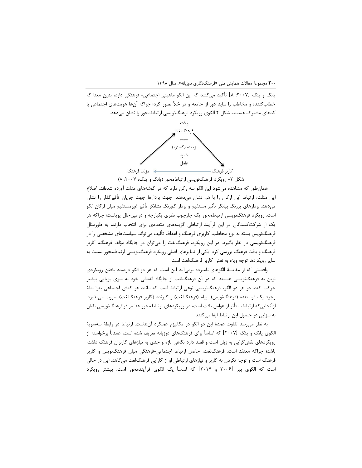۲۰۰ مجموعهٔ مقالات همایش ملی «فرهنگنگاری دوزبانه»، سال ۱۳۹۸

يانگ و پنگ [٢٠٠٧: ٨] تأكيد ميكنند كه اين الگو ماهيتي اجتماعي- فرهنگي دارد، بدين معنا كه خطاب کننده و مخاطب را نباید دور از جامعه و در خلأ تصور کرد؛ چراکه آنها هویتهای اجتماعی با کدهای مشترک هستند. شکل ۲ الگوی رویکرد فرهنگنویسی ارتباطمحور را نشان میدهد.



شکل ۲- رویکرد فرهنگنویسی ارتباطمحور (یانگ و پنگ، ۲۰۰۷: ۸)

همانطور که مشاهده میشود این الگو سه رکن دارد که در گوشههای مثلث آورده شدهاند. اضلاع این مثلث، ارتباط این ارکان را با هم نشان میدهند. جهت بردارها جهت جریان تأثیرگذار را نشان میدهد. بردارهای پررنگ بیانگر تأثیر مستقیم و بردار کم,نگ نشانگر تأثیر غیرمستقیم میان ارکان الگو است. رویکرد فرهنگنویسی ارتباطمحور یک چارچوب نظری یکپارچه و درعینحال پویاست؛ چراکه هر یک از شرکتکنندگان در این فرآیند ارتباطی گزینههای متعددی برای انتخاب دارند، به طورمثال فرهنگنویس بسته به نوع مخاطب، کاربری فرهنگ و اهداف تألیف میتواند سیاستهای مشخصی را در فرهنگنویسی در نظر بگیرد. در این رویکرد، فرهنگلغت را میتوان در جایگاه مؤلف فرهنگ، کاربر فرهنگ و بافت فرهنگ بررسی کرد. یکی از تمایزهای اصلی رویکرد فرهنگنویسی ارتباطمحور نسبت به سایر رویکردها توجه ویژه به نقش کاربر فرهنگ لغت است.

واقعیتی که از مقایسهٔ الگوهای نامبرده برمیآید این است که هر دو الگو درصدد یافتن رویکردی نوین به فرهنگنویسی هستند که در آن فرهنگالغت از جایگاه انفعالی خود به سوی پویایی بیشتر حرکت کند. در هر دو الگو، فرهنگنویسی نوعی ارتباط است که مانند هر کنش اجتماعی بهواسطهٔ وجود یک فرستنده (فرهنگنویس)، پیام (فرهنگالغت) و گیرنده (کاربر فرهنگالغت) صورت می پذیرد. ازآنجایی که ارتباط، متأثر از عوامل بافت است، در رویکردهای ارتباطمحور عناصر فرافرهنگنویسی نقش به سزایی در حصول این ارتباط ایفا میکنند.

به نظر می٫سد تفاوت عمدهٔ این دو الگو در مکانیزم عملکرد آنهاست. ارتباط در رابطهٔ سهسویهٔ الگوی یانگ و پنگ [۲۰۰۷] که اساساً برای فرهنگهای دوزبانه تعریف شده است، عمدتاً برخواسته از رویکردهای نقش گرایی به زبان است و قصد دارد نگاهی تازه و جدی به نیازهای کاربران فرهنگ داشته باشد؛ چراکه معتقد است: فرهنگ لغت، حاصل ارتباط اجتماعی-فرهنگی میان فرهنگ نویس و کاربر فرهنگ است و توجه نکردن به کاربر و نیازهای ارتباطی او از کارایی فرهنگالغت میکاهد. این در حالی است که الگوی بیر [۲۰۰۶ و ۲۰۱۴] که اساساً یک الگوی فرآیندمحور است، بیشتر رویکرد